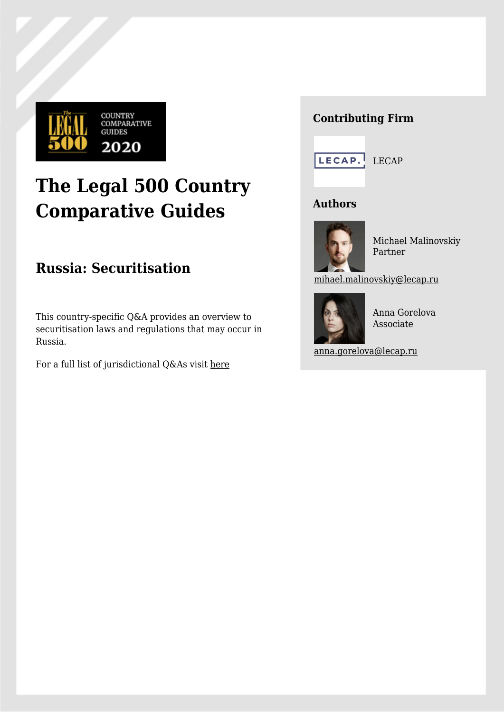

# **The Legal 500 Country Comparative Guides**

# **Russia: Securitisation**

This country-specific Q&A provides an overview to securitisation laws and regulations that may occur in Russia.

For a full list of jurisdictional Q&As visit [here](https://www.legal500.com/guides/)

## **Contributing Firm**



### **Authors**



Michael Malinovskiy Partner

[mihael.malinovskiy@lecap.ru](mailto:mihael.malinovskiy@lecap.ru)



Anna Gorelova Associate

[anna.gorelova@lecap.ru](mailto:anna.gorelova@lecap.ru)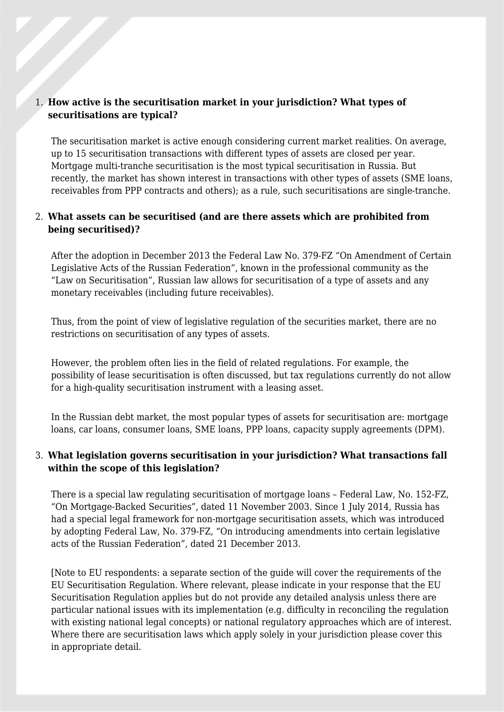#### 1. **How active is the securitisation market in your jurisdiction? What types of securitisations are typical?**

The securitisation market is active enough considering current market realities. On average, up to 15 securitisation transactions with different types of assets are closed per year. Mortgage multi-tranche securitisation is the most typical securitisation in Russia. But recently, the market has shown interest in transactions with other types of assets (SME loans, receivables from PPP contracts and others); as a rule, such securitisations are single-tranche.

#### 2. **What assets can be securitised (and are there assets which are prohibited from being securitised)?**

After the adoption in December 2013 the Federal Law No. 379-FZ "On Amendment of Certain Legislative Acts of the Russian Federation", known in the professional community as the "Law on Securitisation", Russian law allows for securitisation of a type of assets and any monetary receivables (including future receivables).

Thus, from the point of view of legislative regulation of the securities market, there are no restrictions on securitisation of any types of assets.

However, the problem often lies in the field of related regulations. For example, the possibility of lease securitisation is often discussed, but tax regulations currently do not allow for a high-quality securitisation instrument with a leasing asset.

In the Russian debt market, the most popular types of assets for securitisation are: mortgage loans, car loans, consumer loans, SME loans, PPP loans, capacity supply agreements (DPM).

#### 3. **What legislation governs securitisation in your jurisdiction? What transactions fall within the scope of this legislation?**

There is a special law regulating securitisation of mortgage loans – Federal Law, No. 152-FZ, "On Mortgage-Backed Securities", dated 11 November 2003. Since 1 July 2014, Russia has had a special legal framework for non-mortgage securitisation assets, which was introduced by adopting Federal Law, No. 379-FZ, "On introducing amendments into certain legislative acts of the Russian Federation", dated 21 December 2013.

[Note to EU respondents: a separate section of the guide will cover the requirements of the EU Securitisation Regulation. Where relevant, please indicate in your response that the EU Securitisation Regulation applies but do not provide any detailed analysis unless there are particular national issues with its implementation (e.g. difficulty in reconciling the regulation with existing national legal concepts) or national regulatory approaches which are of interest. Where there are securitisation laws which apply solely in your jurisdiction please cover this in appropriate detail.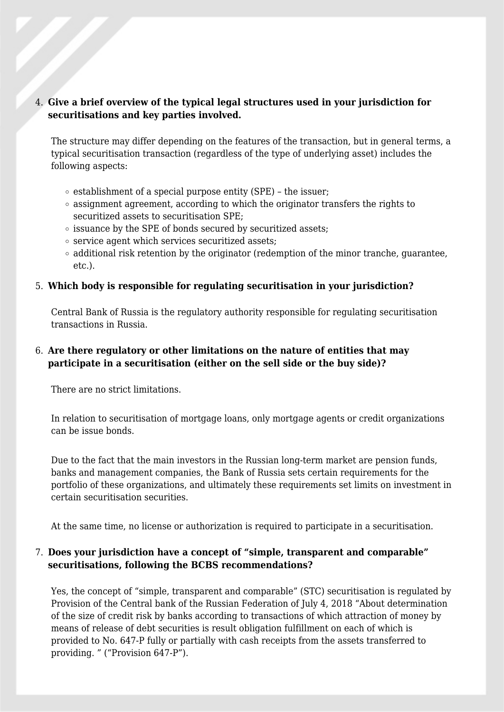#### 4. **Give a brief overview of the typical legal structures used in your jurisdiction for securitisations and key parties involved.**

The structure may differ depending on the features of the transaction, but in general terms, a typical securitisation transaction (regardless of the type of underlying asset) includes the following aspects:

- $\circ$  establishment of a special purpose entity (SPE) the issuer;
- $\circ$  assignment agreement, according to which the originator transfers the rights to securitized assets to securitisation SPE;
- $\circ$  issuance by the SPE of bonds secured by securitized assets;
- $\circ$  service agent which services securitized assets;
- $\circ$  additional risk retention by the originator (redemption of the minor tranche, guarantee, etc.).

#### 5. **Which body is responsible for regulating securitisation in your jurisdiction?**

Central Bank of Russia is the regulatory authority responsible for regulating securitisation transactions in Russia.

#### 6. **Are there regulatory or other limitations on the nature of entities that may participate in a securitisation (either on the sell side or the buy side)?**

There are no strict limitations.

In relation to securitisation of mortgage loans, only mortgage agents or credit organizations can be issue bonds.

Due to the fact that the main investors in the Russian long-term market are pension funds, banks and management companies, the Bank of Russia sets certain requirements for the portfolio of these organizations, and ultimately these requirements set limits on investment in certain securitisation securities.

At the same time, no license or authorization is required to participate in a securitisation.

#### 7. **Does your jurisdiction have a concept of "simple, transparent and comparable" securitisations, following the BCBS recommendations?**

Yes, the concept of "simple, transparent and comparable" (STC) securitisation is regulated by Provision of the Central bank of the Russian Federation of July 4, 2018 "About determination of the size of credit risk by banks according to transactions of which attraction of money by means of release of debt securities is result obligation fulfillment on each of which is provided to No. 647-P fully or partially with cash receipts from the assets transferred to providing. " ("Provision 647-P").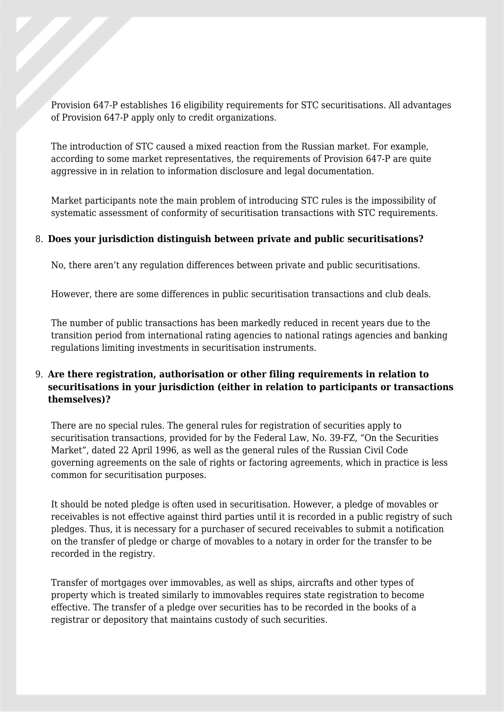Provision 647-P establishes 16 eligibility requirements for STC securitisations. All advantages of Provision 647-P apply only to credit organizations.

The introduction of STC caused a mixed reaction from the Russian market. For example, according to some market representatives, the requirements of Provision 647-P are quite aggressive in in relation to information disclosure and legal documentation.

Market participants note the main problem of introducing STC rules is the impossibility of systematic assessment of conformity of securitisation transactions with STC requirements.

#### 8. **Does your jurisdiction distinguish between private and public securitisations?**

No, there aren't any regulation differences between private and public securitisations.

However, there are some differences in public securitisation transactions and club deals.

The number of public transactions has been markedly reduced in recent years due to the transition period from international rating agencies to national ratings agencies and banking regulations limiting investments in securitisation instruments.

#### 9. **Are there registration, authorisation or other filing requirements in relation to securitisations in your jurisdiction (either in relation to participants or transactions themselves)?**

There are no special rules. The general rules for registration of securities apply to securitisation transactions, provided for by the Federal Law, No. 39-FZ, "On the Securities Market", dated 22 April 1996, as well as the general rules of the Russian Civil Code governing agreements on the sale of rights or factoring agreements, which in practice is less common for securitisation purposes.

It should be noted pledge is often used in securitisation. However, a pledge of movables or receivables is not effective against third parties until it is recorded in a public registry of such pledges. Thus, it is necessary for a purchaser of secured receivables to submit a notification on the transfer of pledge or charge of movables to a notary in order for the transfer to be recorded in the registry.

Transfer of mortgages over immovables, as well as ships, aircrafts and other types of property which is treated similarly to immovables requires state registration to become effective. The transfer of a pledge over securities has to be recorded in the books of a registrar or depository that maintains custody of such securities.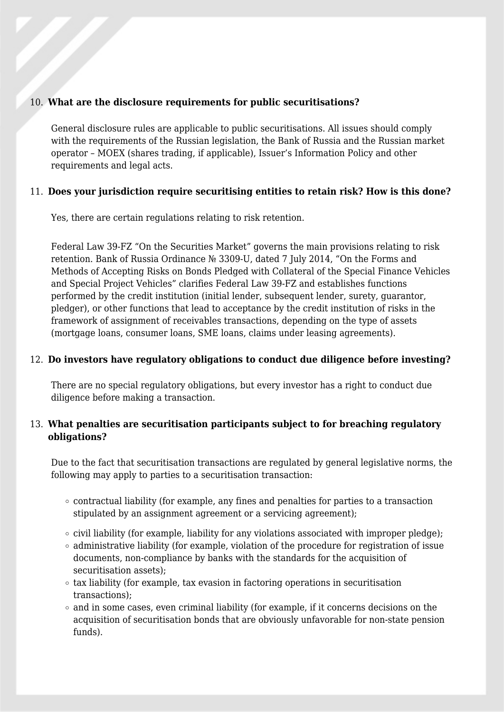#### 10. **What are the disclosure requirements for public securitisations?**

General disclosure rules are applicable to public securitisations. All issues should comply with the requirements of the Russian legislation, the Bank of Russia and the Russian market operator – MOEX (shares trading, if applicable), Issuer's Information Policy and other requirements and legal acts.

#### 11. **Does your jurisdiction require securitising entities to retain risk? How is this done?**

Yes, there are certain regulations relating to risk retention.

Federal Law 39-FZ "On the Securities Market" governs the main provisions relating to risk retention. Bank of Russia Ordinance № 3309-U, dated 7 July 2014, "On the Forms and Methods of Accepting Risks on Bonds Pledged with Collateral of the Special Finance Vehicles and Special Project Vehicles" clarifies Federal Law 39-FZ and establishes functions performed by the credit institution (initial lender, subsequent lender, surety, guarantor, pledger), or other functions that lead to acceptance by the credit institution of risks in the framework of assignment of receivables transactions, depending on the type of assets (mortgage loans, consumer loans, SME loans, claims under leasing agreements).

#### 12. **Do investors have regulatory obligations to conduct due diligence before investing?**

There are no special regulatory obligations, but every investor has a right to conduct due diligence before making a transaction.

#### 13. **What penalties are securitisation participants subject to for breaching regulatory obligations?**

Due to the fact that securitisation transactions are regulated by general legislative norms, the following may apply to parties to a securitisation transaction:

- $\circ$  contractual liability (for example, any fines and penalties for parties to a transaction stipulated by an assignment agreement or a servicing agreement);
- $\circ$  civil liability (for example, liability for any violations associated with improper pledge);
- $\circ$  administrative liability (for example, violation of the procedure for registration of issue documents, non-compliance by banks with the standards for the acquisition of securitisation assets);
- $\circ$  tax liability (for example, tax evasion in factoring operations in securitisation transactions);
- $\circ$  and in some cases, even criminal liability (for example, if it concerns decisions on the acquisition of securitisation bonds that are obviously unfavorable for non-state pension funds).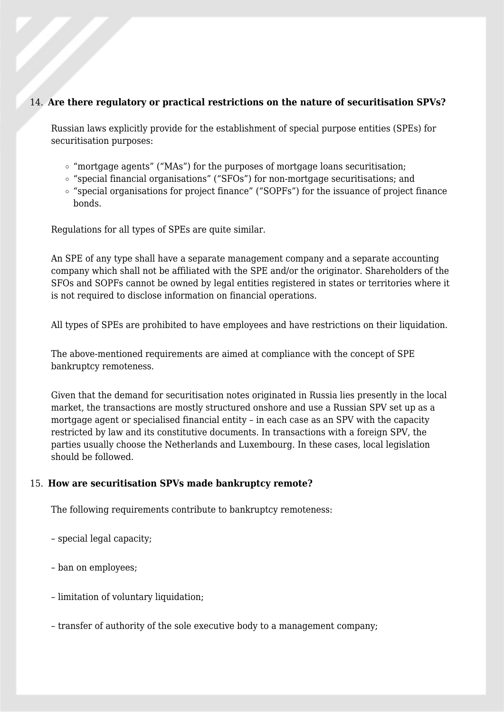#### 14. **Are there regulatory or practical restrictions on the nature of securitisation SPVs?**

Russian laws explicitly provide for the establishment of special purpose entities (SPEs) for securitisation purposes:

- $\circ$  "mortgage agents" ("MAs") for the purposes of mortgage loans securitisation;
- "special financial organisations" ("SFOs") for non-mortgage securitisations; and
- "special organisations for project finance" ("SOPFs") for the issuance of project finance bonds.

Regulations for all types of SPEs are quite similar.

An SPE of any type shall have a separate management company and a separate accounting company which shall not be affiliated with the SPE and/or the originator. Shareholders of the SFOs and SOPFs cannot be owned by legal entities registered in states or territories where it is not required to disclose information on financial operations.

All types of SPEs are prohibited to have employees and have restrictions on their liquidation.

The above-mentioned requirements are aimed at compliance with the concept of SPE bankruptcy remoteness.

Given that the demand for securitisation notes originated in Russia lies presently in the local market, the transactions are mostly structured onshore and use a Russian SPV set up as a mortgage agent or specialised financial entity – in each case as an SPV with the capacity restricted by law and its constitutive documents. In transactions with a foreign SPV, the parties usually choose the Netherlands and Luxembourg. In these cases, local legislation should be followed.

#### 15. **How are securitisation SPVs made bankruptcy remote?**

The following requirements contribute to bankruptcy remoteness:

- special legal capacity;
- ban on employees;
- limitation of voluntary liquidation;
- transfer of authority of the sole executive body to a management company;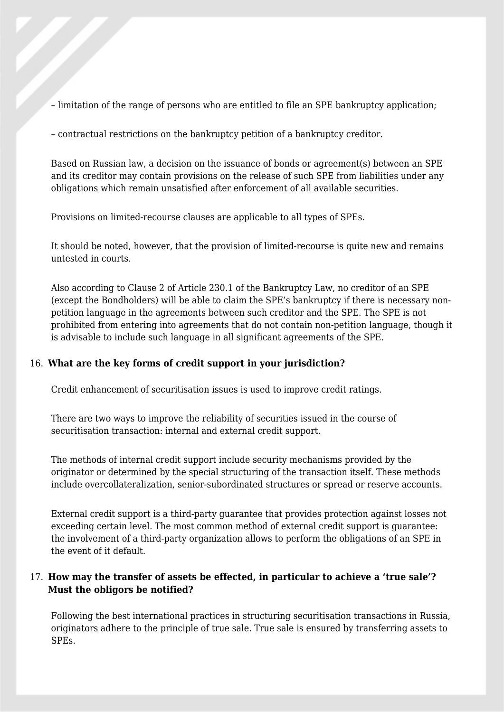– limitation of the range of persons who are entitled to file an SPE bankruptcy application;

– contractual restrictions on the bankruptcy petition of a bankruptcy creditor.

Based on Russian law, a decision on the issuance of bonds or agreement(s) between an SPE and its creditor may contain provisions on the release of such SPE from liabilities under any obligations which remain unsatisfied after enforcement of all available securities.

Provisions on limited-recourse clauses are applicable to all types of SPEs.

It should be noted, however, that the provision of limited-recourse is quite new and remains untested in courts.

Also according to Clause 2 of Article 230.1 of the Bankruptcy Law, no creditor of an SPE (except the Bondholders) will be able to claim the SPE's bankruptcy if there is necessary nonpetition language in the agreements between such creditor and the SPE. The SPE is not prohibited from entering into agreements that do not contain non-petition language, though it is advisable to include such language in all significant agreements of the SPE.

#### 16. **What are the key forms of credit support in your jurisdiction?**

Credit enhancement of securitisation issues is used to improve credit ratings.

There are two ways to improve the reliability of securities issued in the course of securitisation transaction: internal and external credit support.

The methods of internal credit support include security mechanisms provided by the originator or determined by the special structuring of the transaction itself. These methods include overcollateralization, senior-subordinated structures or spread or reserve accounts.

External credit support is a third-party guarantee that provides protection against losses not exceeding certain level. The most common method of external credit support is guarantee: the involvement of a third-party organization allows to perform the obligations of an SPE in the event of it default.

#### 17. **How may the transfer of assets be effected, in particular to achieve a 'true sale'? Must the obligors be notified?**

Following the best international practices in structuring securitisation transactions in Russia, originators adhere to the principle of true sale. True sale is ensured by transferring assets to SPEs.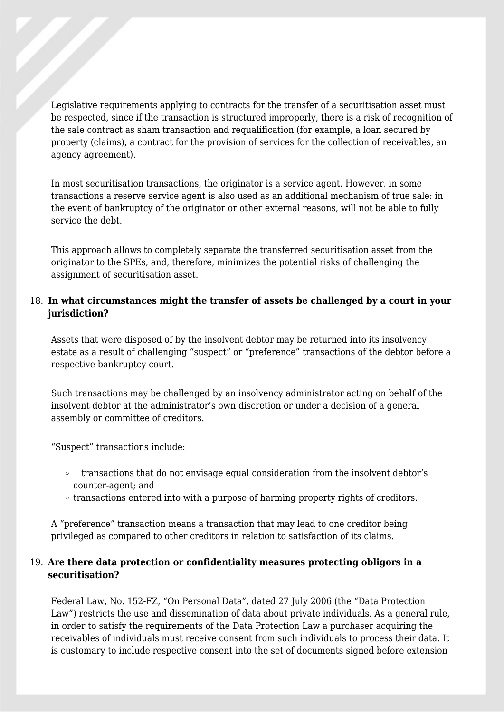Legislative requirements applying to contracts for the transfer of a securitisation asset must be respected, since if the transaction is structured improperly, there is a risk of recognition of the sale contract as sham transaction and requalification (for example, a loan secured by property (claims), a contract for the provision of services for the collection of receivables, an agency agreement).

In most securitisation transactions, the originator is a service agent. However, in some transactions a reserve service agent is also used as an additional mechanism of true sale: in the event of bankruptcy of the originator or other external reasons, will not be able to fully service the debt.

This approach allows to completely separate the transferred securitisation asset from the originator to the SPEs, and, therefore, minimizes the potential risks of challenging the assignment of securitisation asset.

#### 18. **In what circumstances might the transfer of assets be challenged by a court in your jurisdiction?**

Assets that were disposed of by the insolvent debtor may be returned into its insolvency estate as a result of challenging "suspect" or "preference" transactions of the debtor before a respective bankruptcy court.

Such transactions may be challenged by an insolvency administrator acting on behalf of the insolvent debtor at the administrator's own discretion or under a decision of a general assembly or committee of creditors.

"Suspect" transactions include:

- transactions that do not envisage equal consideration from the insolvent debtor's counter-agent; and
- $\circ$  transactions entered into with a purpose of harming property rights of creditors.

A "preference" transaction means a transaction that may lead to one creditor being privileged as compared to other creditors in relation to satisfaction of its claims.

#### 19. **Are there data protection or confidentiality measures protecting obligors in a securitisation?**

Federal Law, No. 152-FZ, "On Personal Data", dated 27 July 2006 (the "Data Protection Law") restricts the use and dissemination of data about private individuals. As a general rule, in order to satisfy the requirements of the Data Protection Law a purchaser acquiring the receivables of individuals must receive consent from such individuals to process their data. It is customary to include respective consent into the set of documents signed before extension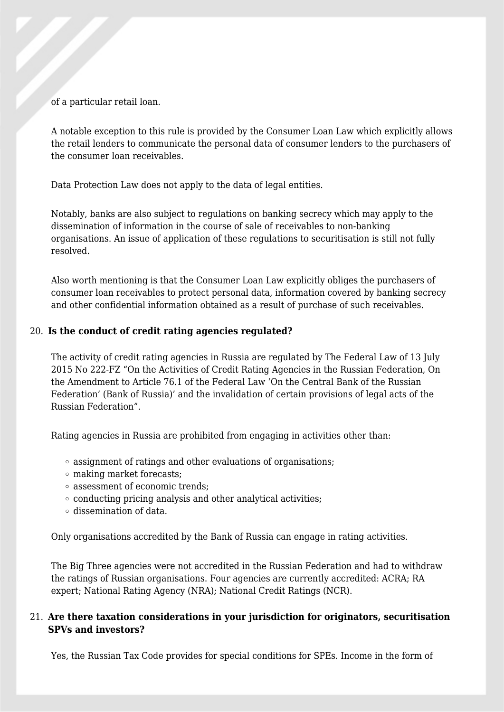of a particular retail loan.

A notable exception to this rule is provided by the Consumer Loan Law which explicitly allows the retail lenders to communicate the personal data of consumer lenders to the purchasers of the consumer loan receivables.

Data Protection Law does not apply to the data of legal entities.

Notably, banks are also subject to regulations on banking secrecy which may apply to the dissemination of information in the course of sale of receivables to non-banking organisations. An issue of application of these regulations to securitisation is still not fully resolved.

Also worth mentioning is that the Consumer Loan Law explicitly obliges the purchasers of consumer loan receivables to protect personal data, information covered by banking secrecy and other confidential information obtained as a result of purchase of such receivables.

#### 20. **Is the conduct of credit rating agencies regulated?**

The activity of credit rating agencies in Russia are regulated by The Federal Law of 13 July 2015 No 222-FZ "On the Activities of Credit Rating Agencies in the Russian Federation, On the Amendment to Article 76.1 of the Federal Law 'On the Central Bank of the Russian Federation' (Bank of Russia)' and the invalidation of certain provisions of legal acts of the Russian Federation".

Rating agencies in Russia are prohibited from engaging in activities other than:

- assignment of ratings and other evaluations of organisations;
- making market forecasts;
- assessment of economic trends;
- $\circ$  conducting pricing analysis and other analytical activities;
- dissemination of data.

Only organisations accredited by the Bank of Russia can engage in rating activities.

The Big Three agencies were not accredited in the Russian Federation and had to withdraw the ratings of Russian organisations. Four agencies are currently accredited: ACRA; RA expert; National Rating Agency (NRA); National Credit Ratings (NCR).

#### 21. **Are there taxation considerations in your jurisdiction for originators, securitisation SPVs and investors?**

Yes, the Russian Tax Code provides for special conditions for SPEs. Income in the form of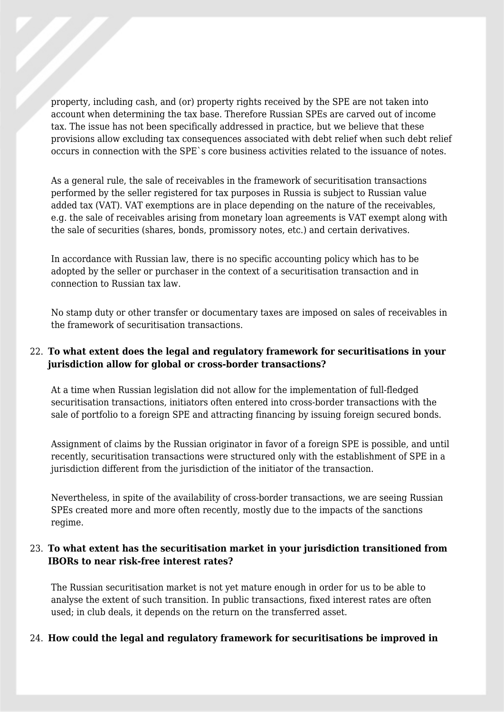property, including cash, and (or) property rights received by the SPE are not taken into account when determining the tax base. Therefore Russian SPEs are carved out of income tax. The issue has not been specifically addressed in practice, but we believe that these provisions allow excluding tax consequences associated with debt relief when such debt relief occurs in connection with the SPE`s core business activities related to the issuance of notes.

As a general rule, the sale of receivables in the framework of securitisation transactions performed by the seller registered for tax purposes in Russia is subject to Russian value added tax (VAT). VAT exemptions are in place depending on the nature of the receivables, e.g. the sale of receivables arising from monetary loan agreements is VAT exempt along with the sale of securities (shares, bonds, promissory notes, etc.) and certain derivatives.

In accordance with Russian law, there is no specific accounting policy which has to be adopted by the seller or purchaser in the context of a securitisation transaction and in connection to Russian tax law.

No stamp duty or other transfer or documentary taxes are imposed on sales of receivables in the framework of securitisation transactions.

#### 22. **To what extent does the legal and regulatory framework for securitisations in your jurisdiction allow for global or cross-border transactions?**

At a time when Russian legislation did not allow for the implementation of full-fledged securitisation transactions, initiators often entered into cross-border transactions with the sale of portfolio to a foreign SPE and attracting financing by issuing foreign secured bonds.

Assignment of claims by the Russian originator in favor of a foreign SPE is possible, and until recently, securitisation transactions were structured only with the establishment of SPE in a jurisdiction different from the jurisdiction of the initiator of the transaction.

Nevertheless, in spite of the availability of cross-border transactions, we are seeing Russian SPEs created more and more often recently, mostly due to the impacts of the sanctions regime.

#### 23. **To what extent has the securitisation market in your jurisdiction transitioned from IBORs to near risk-free interest rates?**

The Russian securitisation market is not yet mature enough in order for us to be able to analyse the extent of such transition. In public transactions, fixed interest rates are often used; in club deals, it depends on the return on the transferred asset.

#### 24. **How could the legal and regulatory framework for securitisations be improved in**